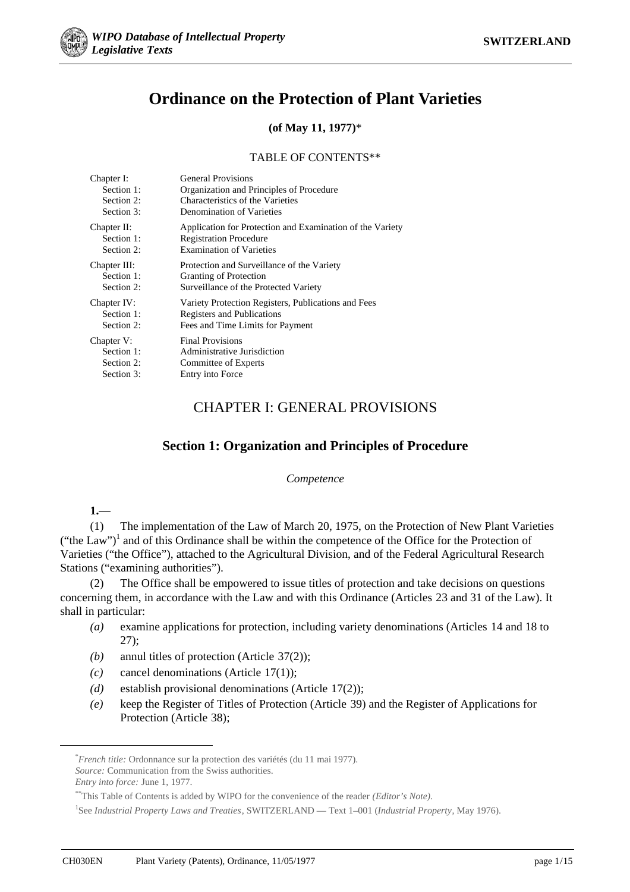

# **Ordinance on the Protection of Plant Varieties**

# **(of May 11, 1977)**\*

### TABLE OF CONTENTS\*\*

| Chapter I:   | <b>General Provisions</b>                                 |
|--------------|-----------------------------------------------------------|
| Section 1:   | Organization and Principles of Procedure                  |
| Section 2:   | Characteristics of the Varieties                          |
| Section 3:   | Denomination of Varieties                                 |
| Chapter II:  | Application for Protection and Examination of the Variety |
| Section 1:   | <b>Registration Procedure</b>                             |
| Section 2:   | <b>Examination of Varieties</b>                           |
| Chapter III: | Protection and Surveillance of the Variety                |
| Section 1:   | Granting of Protection                                    |
| Section 2:   | Surveillance of the Protected Variety                     |
| Chapter IV:  | Variety Protection Registers, Publications and Fees       |
| Section 1:   | Registers and Publications                                |
| Section 2:   | Fees and Time Limits for Payment                          |
| Chapter V:   | <b>Final Provisions</b>                                   |
| Section 1:   | Administrative Jurisdiction                               |
| Section 2:   | Committee of Experts                                      |
| Section 3:   | Entry into Force                                          |

# CHAPTER I: GENERAL PROVISIONS

# **Section 1: Organization and Principles of Procedure**

#### *Competence*

# **1.**—

(1) The implementation of the Law of March 20, 1975, on the Protection of New Plant Varieties ("the Law")<sup>1</sup> and of this Ordinance shall be within the competence of the Office for the Protection of Varieties ("the Office"), attached to the Agricultural Division, and of the Federal Agricultural Research Stations ("examining authorities").

(2) The Office shall be empowered to issue titles of protection and take decisions on questions concerning them, in accordance with the Law and with this Ordinance (Articles 23 and 31 of the Law). It shall in particular:

- *(a)* examine applications for protection, including variety denominations (Articles 14 and 18 to 27);
- *(b)* annul titles of protection (Article 37(2));
- *(c)* cancel denominations (Article 17(1));
- *(d)* establish provisional denominations (Article 17(2));
- *(e)* keep the Register of Titles of Protection (Article 39) and the Register of Applications for Protection (Article 38);

 <sup>\*</sup> *French title:* Ordonnance sur la protection des variétés (du 11 mai 1977).

*Source:* Communication from the Swiss authorities.

*Entry into force:* June 1, 1977.

<sup>\*\*</sup>This Table of Contents is added by WIPO for the convenience of the reader *(Editor's Note).*

<sup>1</sup> See *Industrial Property Laws and Treaties*, SWITZERLAND — Text 1–001 (*Industrial Property*, May 1976).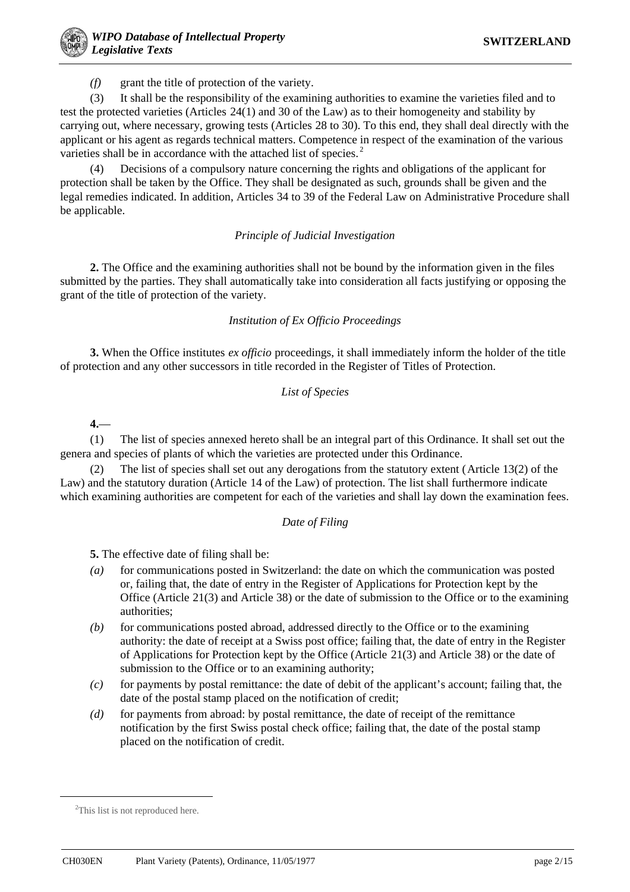*(f)* grant the title of protection of the variety.

(3) It shall be the responsibility of the examining authorities to examine the varieties filed and to test the protected varieties (Articles 24(1) and 30 of the Law) as to their homogeneity and stability by carrying out, where necessary, growing tests (Articles 28 to 30). To this end, they shall deal directly with the applicant or his agent as regards technical matters. Competence in respect of the examination of the various varieties shall be in accordance with the attached list of species.<sup>2</sup>

(4) Decisions of a compulsory nature concerning the rights and obligations of the applicant for protection shall be taken by the Office. They shall be designated as such, grounds shall be given and the legal remedies indicated. In addition, Articles 34 to 39 of the Federal Law on Administrative Procedure shall be applicable.

### *Principle of Judicial Investigation*

**2.** The Office and the examining authorities shall not be bound by the information given in the files submitted by the parties. They shall automatically take into consideration all facts justifying or opposing the grant of the title of protection of the variety.

## *Institution of Ex Officio Proceedings*

**3.** When the Office institutes *ex officio* proceedings, it shall immediately inform the holder of the title of protection and any other successors in title recorded in the Register of Titles of Protection.

## *List of Species*

**4.**—

(1) The list of species annexed hereto shall be an integral part of this Ordinance. It shall set out the genera and species of plants of which the varieties are protected under this Ordinance.

The list of species shall set out any derogations from the statutory extent (Article 13(2) of the Law) and the statutory duration (Article 14 of the Law) of protection. The list shall furthermore indicate which examining authorities are competent for each of the varieties and shall lay down the examination fees.

### *Date of Filing*

**5.** The effective date of filing shall be:

- *(a)* for communications posted in Switzerland: the date on which the communication was posted or, failing that, the date of entry in the Register of Applications for Protection kept by the Office (Article 21(3) and Article 38) or the date of submission to the Office or to the examining authorities;
- *(b)* for communications posted abroad, addressed directly to the Office or to the examining authority: the date of receipt at a Swiss post office; failing that, the date of entry in the Register of Applications for Protection kept by the Office (Article 21(3) and Article 38) or the date of submission to the Office or to an examining authority;
- *(c)* for payments by postal remittance: the date of debit of the applicant's account; failing that, the date of the postal stamp placed on the notification of credit;
- *(d)* for payments from abroad: by postal remittance, the date of receipt of the remittance notification by the first Swiss postal check office; failing that, the date of the postal stamp placed on the notification of credit.

 $\frac{1}{2}$ <sup>2</sup>This list is not reproduced here.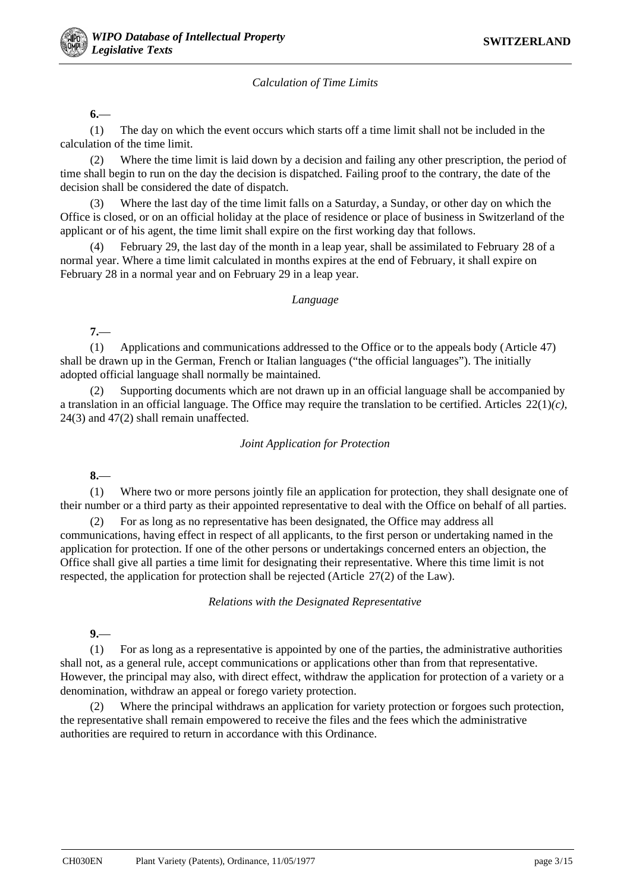### *Calculation of Time Limits*

**6.**—

(1) The day on which the event occurs which starts off a time limit shall not be included in the calculation of the time limit.

(2) Where the time limit is laid down by a decision and failing any other prescription, the period of time shall begin to run on the day the decision is dispatched. Failing proof to the contrary, the date of the decision shall be considered the date of dispatch.

(3) Where the last day of the time limit falls on a Saturday, a Sunday, or other day on which the Office is closed, or on an official holiday at the place of residence or place of business in Switzerland of the applicant or of his agent, the time limit shall expire on the first working day that follows.

(4) February 29, the last day of the month in a leap year, shall be assimilated to February 28 of a normal year. Where a time limit calculated in months expires at the end of February, it shall expire on February 28 in a normal year and on February 29 in a leap year.

#### *Language*

**7.**—

(1) Applications and communications addressed to the Office or to the appeals body (Article 47) shall be drawn up in the German, French or Italian languages ("the official languages"). The initially adopted official language shall normally be maintained.

(2) Supporting documents which are not drawn up in an official language shall be accompanied by a translation in an official language. The Office may require the translation to be certified. Articles 22(1)*(c)*, 24(3) and 47(2) shall remain unaffected.

#### *Joint Application for Protection*

**8.**—

(1) Where two or more persons jointly file an application for protection, they shall designate one of their number or a third party as their appointed representative to deal with the Office on behalf of all parties.

(2) For as long as no representative has been designated, the Office may address all communications, having effect in respect of all applicants, to the first person or undertaking named in the application for protection. If one of the other persons or undertakings concerned enters an objection, the Office shall give all parties a time limit for designating their representative. Where this time limit is not respected, the application for protection shall be rejected (Article 27(2) of the Law).

*Relations with the Designated Representative*

**9.**—

(1) For as long as a representative is appointed by one of the parties, the administrative authorities shall not, as a general rule, accept communications or applications other than from that representative. However, the principal may also, with direct effect, withdraw the application for protection of a variety or a denomination, withdraw an appeal or forego variety protection.

(2) Where the principal withdraws an application for variety protection or forgoes such protection, the representative shall remain empowered to receive the files and the fees which the administrative authorities are required to return in accordance with this Ordinance.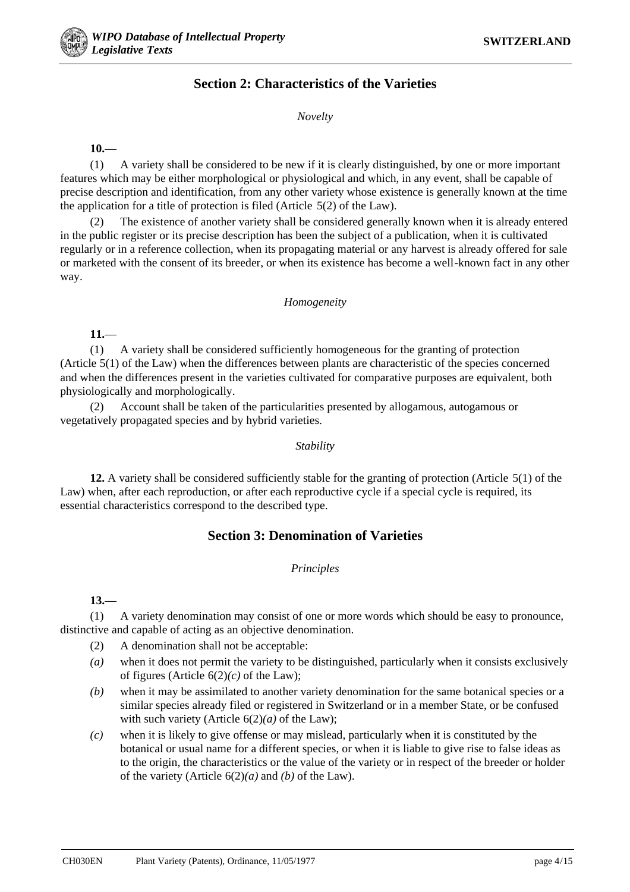# **Section 2: Characteristics of the Varieties**

*Novelty*

### **10.**—

(1) A variety shall be considered to be new if it is clearly distinguished, by one or more important features which may be either morphological or physiological and which, in any event, shall be capable of precise description and identification, from any other variety whose existence is generally known at the time the application for a title of protection is filed (Article 5(2) of the Law).

(2) The existence of another variety shall be considered generally known when it is already entered in the public register or its precise description has been the subject of a publication, when it is cultivated regularly or in a reference collection, when its propagating material or any harvest is already offered for sale or marketed with the consent of its breeder, or when its existence has become a well-known fact in any other way.

#### *Homogeneity*

**11.**—

(1) A variety shall be considered sufficiently homogeneous for the granting of protection (Article 5(1) of the Law) when the differences between plants are characteristic of the species concerned and when the differences present in the varieties cultivated for comparative purposes are equivalent, both physiologically and morphologically.

(2) Account shall be taken of the particularities presented by allogamous, autogamous or vegetatively propagated species and by hybrid varieties.

#### *Stability*

**12.** A variety shall be considered sufficiently stable for the granting of protection (Article 5(1) of the Law) when, after each reproduction, or after each reproductive cycle if a special cycle is required, its essential characteristics correspond to the described type.

# **Section 3: Denomination of Varieties**

#### *Principles*

**13.**—

(1) A variety denomination may consist of one or more words which should be easy to pronounce, distinctive and capable of acting as an objective denomination.

- (2) A denomination shall not be acceptable:
- *(a)* when it does not permit the variety to be distinguished, particularly when it consists exclusively of figures (Article  $6(2)(c)$  of the Law);
- *(b)* when it may be assimilated to another variety denomination for the same botanical species or a similar species already filed or registered in Switzerland or in a member State, or be confused with such variety (Article 6(2)*(a)* of the Law);
- *(c)* when it is likely to give offense or may mislead, particularly when it is constituted by the botanical or usual name for a different species, or when it is liable to give rise to false ideas as to the origin, the characteristics or the value of the variety or in respect of the breeder or holder of the variety (Article 6(2)*(a)* and *(b)* of the Law).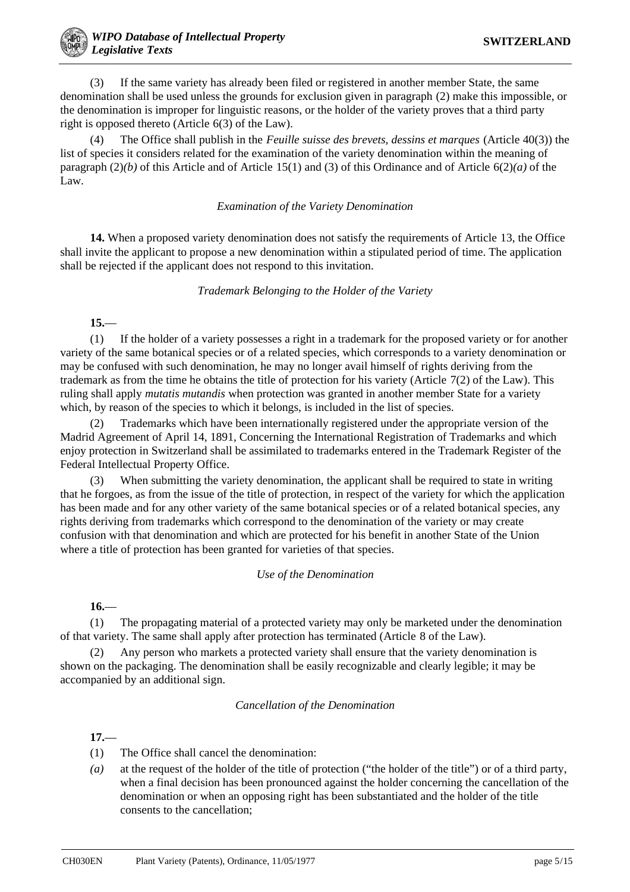(3) If the same variety has already been filed or registered in another member State, the same denomination shall be used unless the grounds for exclusion given in paragraph (2) make this impossible, or the denomination is improper for linguistic reasons, or the holder of the variety proves that a third party right is opposed thereto (Article 6(3) of the Law).

(4) The Office shall publish in the *Feuille suisse des brevets, dessins et marques* (Article 40(3)) the list of species it considers related for the examination of the variety denomination within the meaning of paragraph (2)*(b)* of this Article and of Article 15(1) and (3) of this Ordinance and of Article 6(2)*(a)* of the Law.

#### *Examination of the Variety Denomination*

**14.** When a proposed variety denomination does not satisfy the requirements of Article 13, the Office shall invite the applicant to propose a new denomination within a stipulated period of time. The application shall be rejected if the applicant does not respond to this invitation.

#### *Trademark Belonging to the Holder of the Variety*

**15.**—

(1) If the holder of a variety possesses a right in a trademark for the proposed variety or for another variety of the same botanical species or of a related species, which corresponds to a variety denomination or may be confused with such denomination, he may no longer avail himself of rights deriving from the trademark as from the time he obtains the title of protection for his variety (Article 7(2) of the Law). This ruling shall apply *mutatis mutandis* when protection was granted in another member State for a variety which, by reason of the species to which it belongs, is included in the list of species.

(2) Trademarks which have been internationally registered under the appropriate version of the Madrid Agreement of April 14, 1891, Concerning the International Registration of Trademarks and which enjoy protection in Switzerland shall be assimilated to trademarks entered in the Trademark Register of the Federal Intellectual Property Office.

(3) When submitting the variety denomination, the applicant shall be required to state in writing that he forgoes, as from the issue of the title of protection, in respect of the variety for which the application has been made and for any other variety of the same botanical species or of a related botanical species, any rights deriving from trademarks which correspond to the denomination of the variety or may create confusion with that denomination and which are protected for his benefit in another State of the Union where a title of protection has been granted for varieties of that species.

### *Use of the Denomination*

**16.**—

(1) The propagating material of a protected variety may only be marketed under the denomination of that variety. The same shall apply after protection has terminated (Article 8 of the Law).

(2) Any person who markets a protected variety shall ensure that the variety denomination is shown on the packaging. The denomination shall be easily recognizable and clearly legible; it may be accompanied by an additional sign.

#### *Cancellation of the Denomination*

**17.**—

- (1) The Office shall cancel the denomination:
- *(a)* at the request of the holder of the title of protection ("the holder of the title") or of a third party, when a final decision has been pronounced against the holder concerning the cancellation of the denomination or when an opposing right has been substantiated and the holder of the title consents to the cancellation;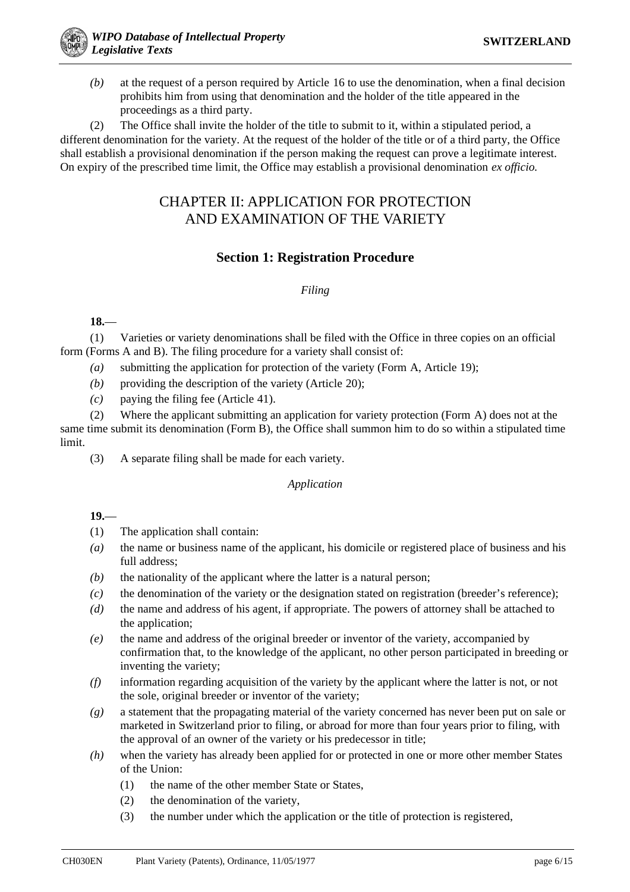*(b)* at the request of a person required by Article 16 to use the denomination, when a final decision prohibits him from using that denomination and the holder of the title appeared in the proceedings as a third party.

(2) The Office shall invite the holder of the title to submit to it, within a stipulated period, a different denomination for the variety. At the request of the holder of the title or of a third party, the Office shall establish a provisional denomination if the person making the request can prove a legitimate interest. On expiry of the prescribed time limit, the Office may establish a provisional denomination *ex officio.*

# CHAPTER II: APPLICATION FOR PROTECTION AND EXAMINATION OF THE VARIETY

# **Section 1: Registration Procedure**

## *Filing*

**18.**—

(1) Varieties or variety denominations shall be filed with the Office in three copies on an official form (Forms A and B). The filing procedure for a variety shall consist of:

- *(a)* submitting the application for protection of the variety (Form A, Article 19);
- *(b)* providing the description of the variety (Article 20);
- *(c)* paying the filing fee (Article 41).

(2) Where the applicant submitting an application for variety protection (Form A) does not at the same time submit its denomination (Form B), the Office shall summon him to do so within a stipulated time limit.

(3) A separate filing shall be made for each variety.

### *Application*

### **19.**—

- (1) The application shall contain:
- *(a)* the name or business name of the applicant, his domicile or registered place of business and his full address;
- *(b)* the nationality of the applicant where the latter is a natural person;
- *(c)* the denomination of the variety or the designation stated on registration (breeder's reference);
- *(d)* the name and address of his agent, if appropriate. The powers of attorney shall be attached to the application;
- *(e)* the name and address of the original breeder or inventor of the variety, accompanied by confirmation that, to the knowledge of the applicant, no other person participated in breeding or inventing the variety;
- *(f)* information regarding acquisition of the variety by the applicant where the latter is not, or not the sole, original breeder or inventor of the variety;
- *(g)* a statement that the propagating material of the variety concerned has never been put on sale or marketed in Switzerland prior to filing, or abroad for more than four years prior to filing, with the approval of an owner of the variety or his predecessor in title;
- *(h)* when the variety has already been applied for or protected in one or more other member States of the Union:
	- (1) the name of the other member State or States,
	- (2) the denomination of the variety,
	- (3) the number under which the application or the title of protection is registered,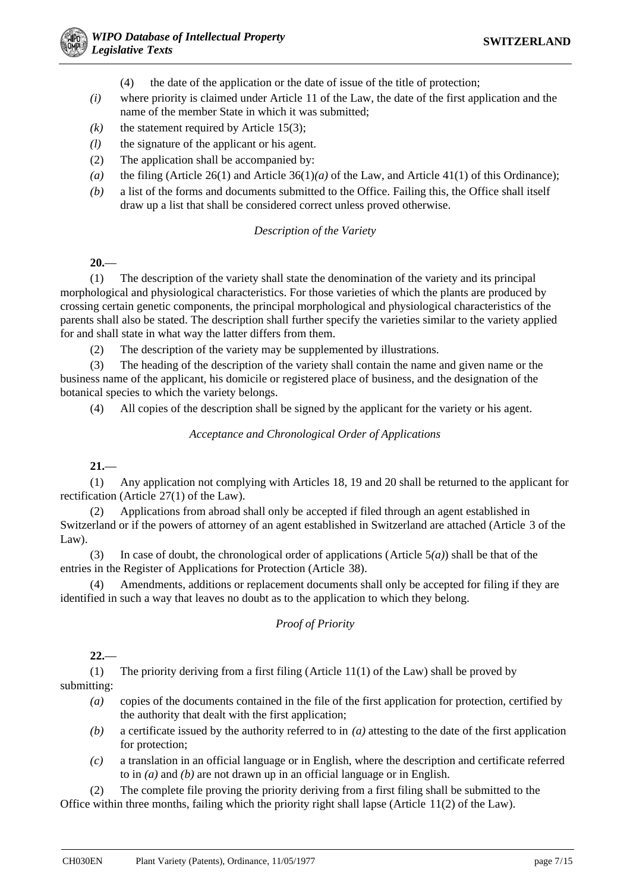- (4) the date of the application or the date of issue of the title of protection;
- *(i)* where priority is claimed under Article 11 of the Law, the date of the first application and the name of the member State in which it was submitted;
- $(k)$  the statement required by Article 15(3);
- *(l)* the signature of the applicant or his agent.
- (2) The application shall be accompanied by:
- *(a)* the filing (Article 26(1) and Article 36(1)*(a)* of the Law, and Article 41(1) of this Ordinance);
- *(b)* a list of the forms and documents submitted to the Office. Failing this, the Office shall itself draw up a list that shall be considered correct unless proved otherwise.

#### *Description of the Variety*

**20.**—

(1) The description of the variety shall state the denomination of the variety and its principal morphological and physiological characteristics. For those varieties of which the plants are produced by crossing certain genetic components, the principal morphological and physiological characteristics of the parents shall also be stated. The description shall further specify the varieties similar to the variety applied for and shall state in what way the latter differs from them.

(2) The description of the variety may be supplemented by illustrations.

(3) The heading of the description of the variety shall contain the name and given name or the business name of the applicant, his domicile or registered place of business, and the designation of the botanical species to which the variety belongs.

(4) All copies of the description shall be signed by the applicant for the variety or his agent.

*Acceptance and Chronological Order of Applications*

**21.**—

(1) Any application not complying with Articles 18, 19 and 20 shall be returned to the applicant for rectification (Article 27(1) of the Law).

(2) Applications from abroad shall only be accepted if filed through an agent established in Switzerland or if the powers of attorney of an agent established in Switzerland are attached (Article 3 of the Law).

(3) In case of doubt, the chronological order of applications (Article 5*(a)*) shall be that of the entries in the Register of Applications for Protection (Article 38).

(4) Amendments, additions or replacement documents shall only be accepted for filing if they are identified in such a way that leaves no doubt as to the application to which they belong.

### *Proof of Priority*

**22.**—

(1) The priority deriving from a first filing (Article 11(1) of the Law) shall be proved by submitting:

- *(a)* copies of the documents contained in the file of the first application for protection, certified by the authority that dealt with the first application;
- *(b)* a certificate issued by the authority referred to in *(a)* attesting to the date of the first application for protection;
- *(c)* a translation in an official language or in English, where the description and certificate referred to in *(a)* and *(b)* are not drawn up in an official language or in English.

(2) The complete file proving the priority deriving from a first filing shall be submitted to the Office within three months, failing which the priority right shall lapse (Article 11(2) of the Law).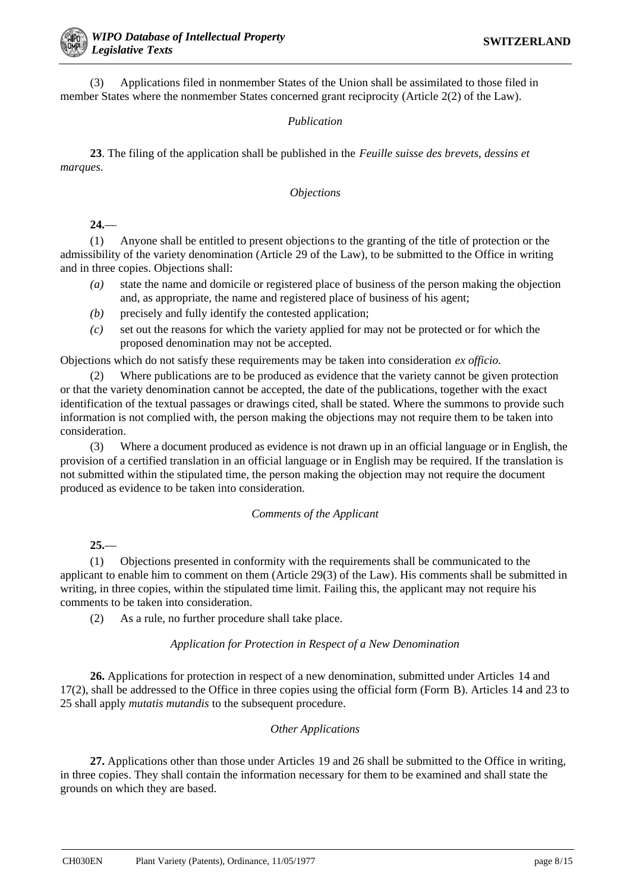(3) Applications filed in nonmember States of the Union shall be assimilated to those filed in member States where the nonmember States concerned grant reciprocity (Article 2(2) of the Law).

## *Publication*

**23**. The filing of the application shall be published in the *Feuille suisse des brevets, dessins et marques.*

### *Objections*

## **24.**—

(1) Anyone shall be entitled to present objections to the granting of the title of protection or the admissibility of the variety denomination (Article 29 of the Law), to be submitted to the Office in writing and in three copies. Objections shall:

- *(a)* state the name and domicile or registered place of business of the person making the objection and, as appropriate, the name and registered place of business of his agent;
- *(b)* precisely and fully identify the contested application;
- *(c)* set out the reasons for which the variety applied for may not be protected or for which the proposed denomination may not be accepted.

Objections which do not satisfy these requirements may be taken into consideration *ex officio.*

(2) Where publications are to be produced as evidence that the variety cannot be given protection or that the variety denomination cannot be accepted, the date of the publications, together with the exact identification of the textual passages or drawings cited, shall be stated. Where the summons to provide such information is not complied with, the person making the objections may not require them to be taken into consideration.

(3) Where a document produced as evidence is not drawn up in an official language or in English, the provision of a certified translation in an official language or in English may be required. If the translation is not submitted within the stipulated time, the person making the objection may not require the document produced as evidence to be taken into consideration.

### *Comments of the Applicant*

# **25.**—

(1) Objections presented in conformity with the requirements shall be communicated to the applicant to enable him to comment on them (Article 29(3) of the Law). His comments shall be submitted in writing, in three copies, within the stipulated time limit. Failing this, the applicant may not require his comments to be taken into consideration.

(2) As a rule, no further procedure shall take place.

### *Application for Protection in Respect of a New Denomination*

**26.** Applications for protection in respect of a new denomination, submitted under Articles 14 and 17(2), shall be addressed to the Office in three copies using the official form (Form B). Articles 14 and 23 to 25 shall apply *mutatis mutandis* to the subsequent procedure.

### *Other Applications*

**27.** Applications other than those under Articles 19 and 26 shall be submitted to the Office in writing, in three copies. They shall contain the information necessary for them to be examined and shall state the grounds on which they are based.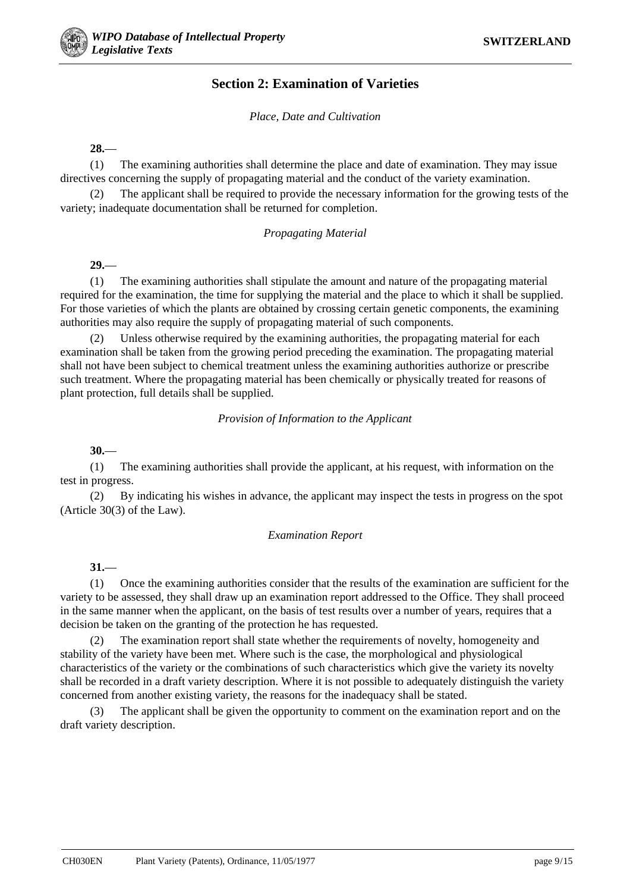# **Section 2: Examination of Varieties**

*Place, Date and Cultivation*

**28.**—

(1) The examining authorities shall determine the place and date of examination. They may issue directives concerning the supply of propagating material and the conduct of the variety examination.

(2) The applicant shall be required to provide the necessary information for the growing tests of the variety; inadequate documentation shall be returned for completion.

#### *Propagating Material*

**29.**—

(1) The examining authorities shall stipulate the amount and nature of the propagating material required for the examination, the time for supplying the material and the place to which it shall be supplied. For those varieties of which the plants are obtained by crossing certain genetic components, the examining authorities may also require the supply of propagating material of such components.

(2) Unless otherwise required by the examining authorities, the propagating material for each examination shall be taken from the growing period preceding the examination. The propagating material shall not have been subject to chemical treatment unless the examining authorities authorize or prescribe such treatment. Where the propagating material has been chemically or physically treated for reasons of plant protection, full details shall be supplied.

*Provision of Information to the Applicant*

**30.**—

(1) The examining authorities shall provide the applicant, at his request, with information on the test in progress.

(2) By indicating his wishes in advance, the applicant may inspect the tests in progress on the spot (Article 30(3) of the Law).

#### *Examination Report*

**31.**—

(1) Once the examining authorities consider that the results of the examination are sufficient for the variety to be assessed, they shall draw up an examination report addressed to the Office. They shall proceed in the same manner when the applicant, on the basis of test results over a number of years, requires that a decision be taken on the granting of the protection he has requested.

(2) The examination report shall state whether the requirements of novelty, homogeneity and stability of the variety have been met. Where such is the case, the morphological and physiological characteristics of the variety or the combinations of such characteristics which give the variety its novelty shall be recorded in a draft variety description. Where it is not possible to adequately distinguish the variety concerned from another existing variety, the reasons for the inadequacy shall be stated.

(3) The applicant shall be given the opportunity to comment on the examination report and on the draft variety description.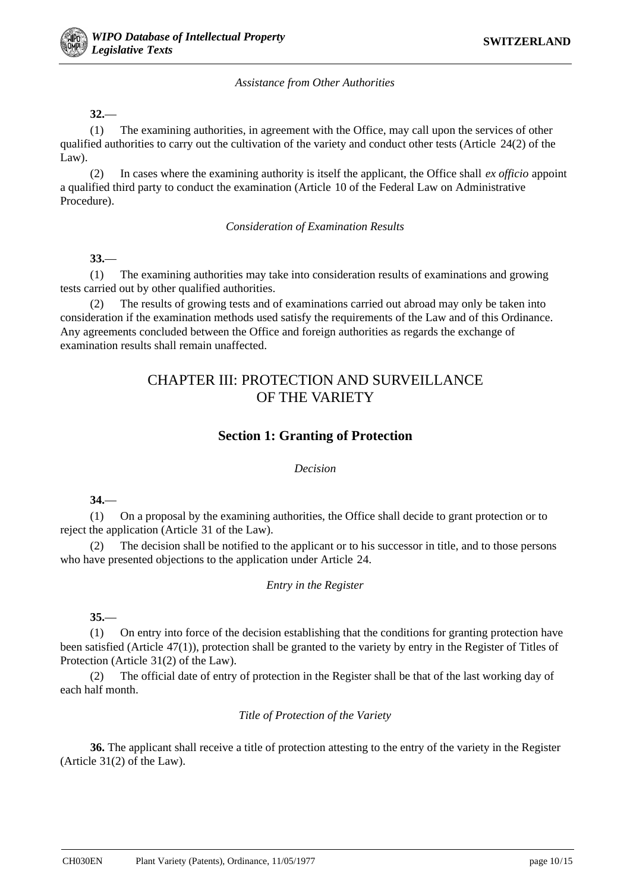#### *Assistance from Other Authorities*

#### **32.**—

(1) The examining authorities, in agreement with the Office, may call upon the services of other qualified authorities to carry out the cultivation of the variety and conduct other tests (Article 24(2) of the Law).

(2) In cases where the examining authority is itself the applicant, the Office shall *ex officio* appoint a qualified third party to conduct the examination (Article 10 of the Federal Law on Administrative Procedure).

*Consideration of Examination Results*

### **33.**—

(1) The examining authorities may take into consideration results of examinations and growing tests carried out by other qualified authorities.

(2) The results of growing tests and of examinations carried out abroad may only be taken into consideration if the examination methods used satisfy the requirements of the Law and of this Ordinance. Any agreements concluded between the Office and foreign authorities as regards the exchange of examination results shall remain unaffected.

# CHAPTER III: PROTECTION AND SURVEILLANCE OF THE VARIETY

# **Section 1: Granting of Protection**

#### *Decision*

**34.**—

(1) On a proposal by the examining authorities, the Office shall decide to grant protection or to reject the application (Article 31 of the Law).

(2) The decision shall be notified to the applicant or to his successor in title, and to those persons who have presented objections to the application under Article 24.

#### *Entry in the Register*

#### **35.**—

(1) On entry into force of the decision establishing that the conditions for granting protection have been satisfied (Article 47(1)), protection shall be granted to the variety by entry in the Register of Titles of Protection (Article 31(2) of the Law).

(2) The official date of entry of protection in the Register shall be that of the last working day of each half month.

#### *Title of Protection of the Variety*

**36.** The applicant shall receive a title of protection attesting to the entry of the variety in the Register (Article 31(2) of the Law).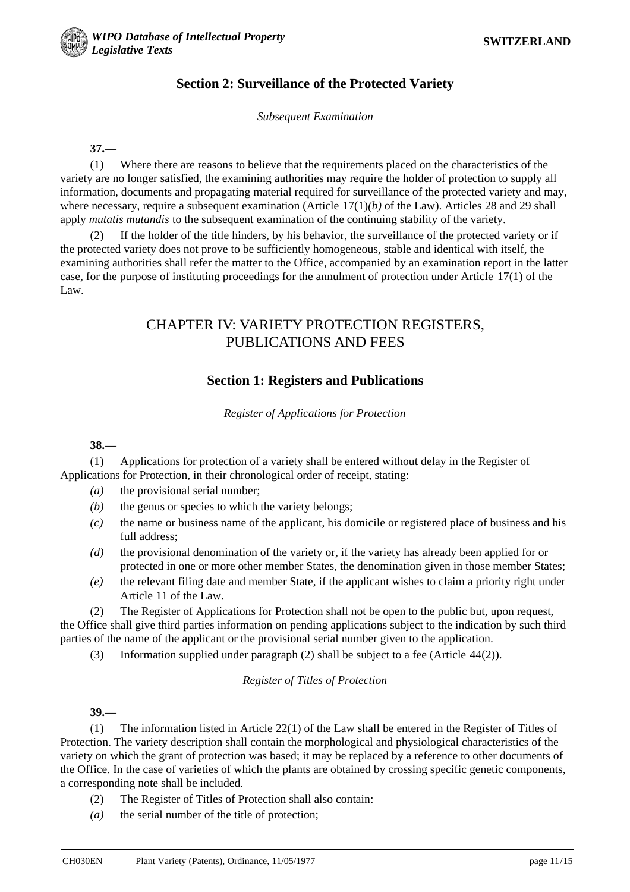# **Section 2: Surveillance of the Protected Variety**

*Subsequent Examination*

**37.**—

(1) Where there are reasons to believe that the requirements placed on the characteristics of the variety are no longer satisfied, the examining authorities may require the holder of protection to supply all information, documents and propagating material required for surveillance of the protected variety and may, where necessary, require a subsequent examination (Article 17(1)*(b)* of the Law). Articles 28 and 29 shall apply *mutatis mutandis* to the subsequent examination of the continuing stability of the variety.

(2) If the holder of the title hinders, by his behavior, the surveillance of the protected variety or if the protected variety does not prove to be sufficiently homogeneous, stable and identical with itself, the examining authorities shall refer the matter to the Office, accompanied by an examination report in the latter case, for the purpose of instituting proceedings for the annulment of protection under Article 17(1) of the Law.

# CHAPTER IV: VARIETY PROTECTION REGISTERS, PUBLICATIONS AND FEES

# **Section 1: Registers and Publications**

*Register of Applications for Protection*

**38.**—

(1) Applications for protection of a variety shall be entered without delay in the Register of Applications for Protection, in their chronological order of receipt, stating:

- *(a)* the provisional serial number;
- *(b)* the genus or species to which the variety belongs;
- *(c)* the name or business name of the applicant, his domicile or registered place of business and his full address;
- *(d)* the provisional denomination of the variety or, if the variety has already been applied for or protected in one or more other member States, the denomination given in those member States;
- *(e)* the relevant filing date and member State, if the applicant wishes to claim a priority right under Article 11 of the Law.

(2) The Register of Applications for Protection shall not be open to the public but, upon request, the Office shall give third parties information on pending applications subject to the indication by such third parties of the name of the applicant or the provisional serial number given to the application.

(3) Information supplied under paragraph (2) shall be subject to a fee (Article 44(2)).

### *Register of Titles of Protection*

**39.**—

(1) The information listed in Article 22(1) of the Law shall be entered in the Register of Titles of Protection. The variety description shall contain the morphological and physiological characteristics of the variety on which the grant of protection was based; it may be replaced by a reference to other documents of the Office. In the case of varieties of which the plants are obtained by crossing specific genetic components, a corresponding note shall be included.

- (2) The Register of Titles of Protection shall also contain:
- *(a)* the serial number of the title of protection;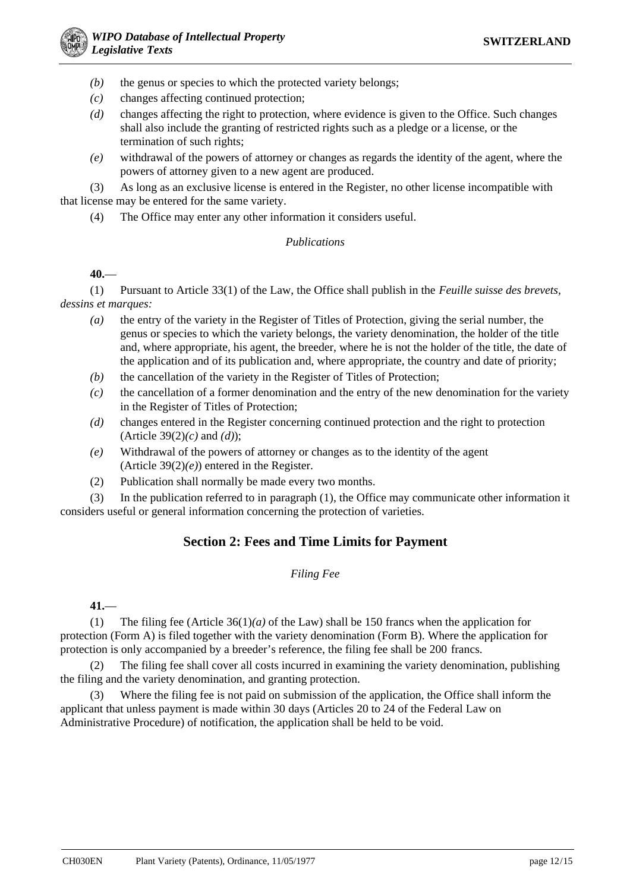- *(b)* the genus or species to which the protected variety belongs;
- *(c)* changes affecting continued protection;
- *(d)* changes affecting the right to protection, where evidence is given to the Office. Such changes shall also include the granting of restricted rights such as a pledge or a license, or the termination of such rights;
- *(e)* withdrawal of the powers of attorney or changes as regards the identity of the agent, where the powers of attorney given to a new agent are produced.

(3) As long as an exclusive license is entered in the Register, no other license incompatible with that license may be entered for the same variety.

(4) The Office may enter any other information it considers useful.

## *Publications*

### **40.**—

(1) Pursuant to Article 33(1) of the Law, the Office shall publish in the *Feuille suisse des brevets, dessins et marques:*

- *(a)* the entry of the variety in the Register of Titles of Protection, giving the serial number, the genus or species to which the variety belongs, the variety denomination, the holder of the title and, where appropriate, his agent, the breeder, where he is not the holder of the title, the date of the application and of its publication and, where appropriate, the country and date of priority;
- *(b)* the cancellation of the variety in the Register of Titles of Protection;
- *(c)* the cancellation of a former denomination and the entry of the new denomination for the variety in the Register of Titles of Protection;
- *(d)* changes entered in the Register concerning continued protection and the right to protection (Article 39(2)*(c)* and *(d)*);
- *(e)* Withdrawal of the powers of attorney or changes as to the identity of the agent (Article 39(2)*(e)*) entered in the Register.
- (2) Publication shall normally be made every two months.

(3) In the publication referred to in paragraph (1), the Office may communicate other information it considers useful or general information concerning the protection of varieties.

# **Section 2: Fees and Time Limits for Payment**

# *Filing Fee*

### **41.**—

(1) The filing fee (Article  $36(1)(a)$  of the Law) shall be 150 francs when the application for protection (Form A) is filed together with the variety denomination (Form B). Where the application for protection is only accompanied by a breeder's reference, the filing fee shall be 200 francs.

(2) The filing fee shall cover all costs incurred in examining the variety denomination, publishing the filing and the variety denomination, and granting protection.

(3) Where the filing fee is not paid on submission of the application, the Office shall inform the applicant that unless payment is made within 30 days (Articles 20 to 24 of the Federal Law on Administrative Procedure) of notification, the application shall be held to be void.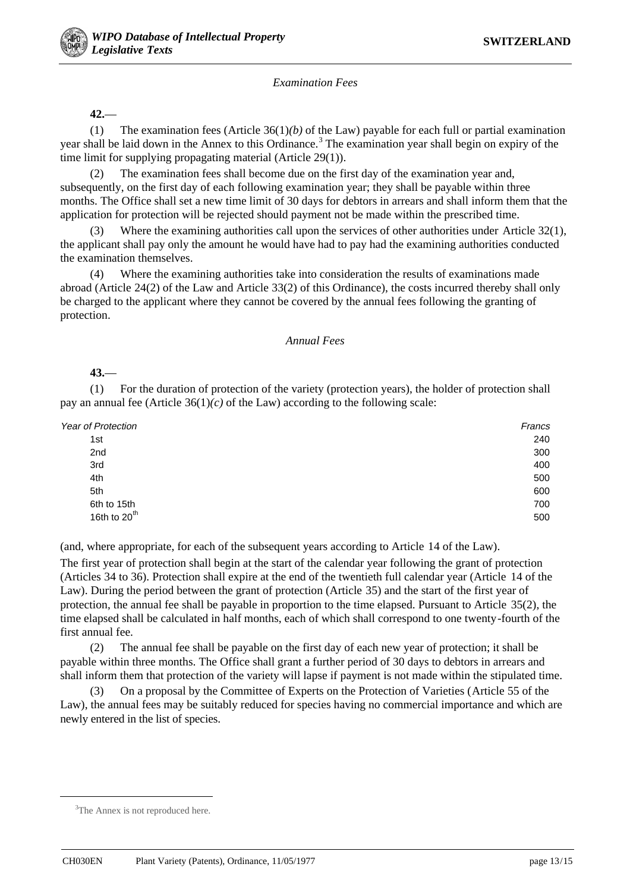*Examination Fees*

**42.**—

(1) The examination fees (Article 36(1)*(b)* of the Law) payable for each full or partial examination year shall be laid down in the Annex to this Ordinance.<sup>3</sup> The examination year shall begin on expiry of the time limit for supplying propagating material (Article 29(1)).

(2) The examination fees shall become due on the first day of the examination year and, subsequently, on the first day of each following examination year; they shall be payable within three months. The Office shall set a new time limit of 30 days for debtors in arrears and shall inform them that the application for protection will be rejected should payment not be made within the prescribed time.

(3) Where the examining authorities call upon the services of other authorities under Article 32(1), the applicant shall pay only the amount he would have had to pay had the examining authorities conducted the examination themselves.

(4) Where the examining authorities take into consideration the results of examinations made abroad (Article 24(2) of the Law and Article 33(2) of this Ordinance), the costs incurred thereby shall only be charged to the applicant where they cannot be covered by the annual fees following the granting of protection.

#### *Annual Fees*

#### **43.**—

(1) For the duration of protection of the variety (protection years), the holder of protection shall pay an annual fee (Article  $36(1)(c)$  of the Law) according to the following scale:

| Year of Protection       | Francs |
|--------------------------|--------|
| 1st                      | 240    |
| 2nd                      | 300    |
| 3rd                      | 400    |
| 4th                      | 500    |
| 5th                      | 600    |
| 6th to 15th              | 700    |
| 16th to 20 <sup>th</sup> | 500    |

(and, where appropriate, for each of the subsequent years according to Article 14 of the Law).

The first year of protection shall begin at the start of the calendar year following the grant of protection (Articles 34 to 36). Protection shall expire at the end of the twentieth full calendar year (Article 14 of the Law). During the period between the grant of protection (Article 35) and the start of the first year of protection, the annual fee shall be payable in proportion to the time elapsed. Pursuant to Article 35(2), the time elapsed shall be calculated in half months, each of which shall correspond to one twenty-fourth of the first annual fee.

(2) The annual fee shall be payable on the first day of each new year of protection; it shall be payable within three months. The Office shall grant a further period of 30 days to debtors in arrears and shall inform them that protection of the variety will lapse if payment is not made within the stipulated time.

(3) On a proposal by the Committee of Experts on the Protection of Varieties (Article 55 of the Law), the annual fees may be suitably reduced for species having no commercial importance and which are newly entered in the list of species.

 $\frac{1}{3}$ <sup>3</sup>The Annex is not reproduced here.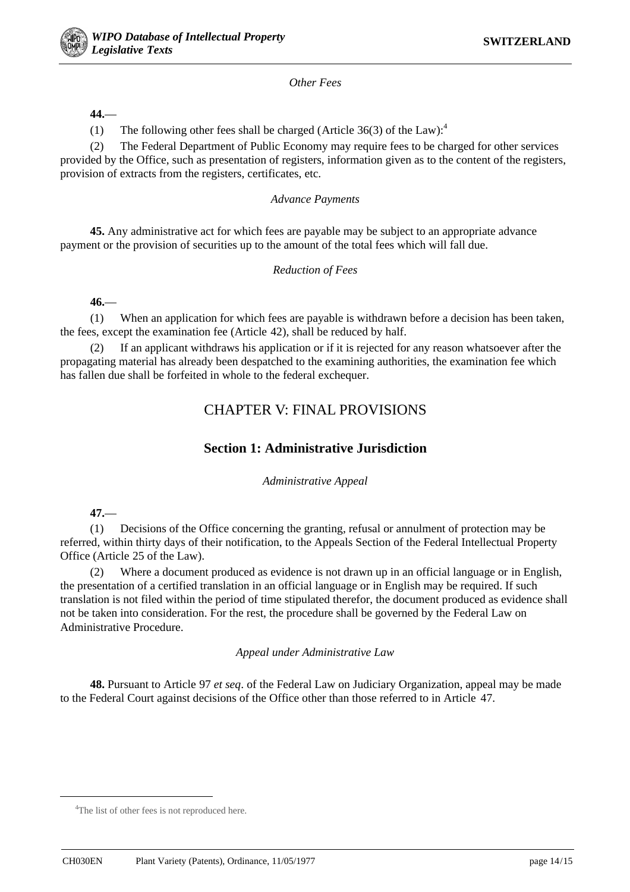

### *Other Fees*

### **44.**—

(1) The following other fees shall be charged (Article  $36(3)$  of the Law):<sup>4</sup>

(2) The Federal Department of Public Economy may require fees to be charged for other services provided by the Office, such as presentation of registers, information given as to the content of the registers, provision of extracts from the registers, certificates, etc.

### *Advance Payments*

**45.** Any administrative act for which fees are payable may be subject to an appropriate advance payment or the provision of securities up to the amount of the total fees which will fall due.

### *Reduction of Fees*

**46.**—

(1) When an application for which fees are payable is withdrawn before a decision has been taken, the fees, except the examination fee (Article 42), shall be reduced by half.

If an applicant withdraws his application or if it is rejected for any reason whatsoever after the propagating material has already been despatched to the examining authorities, the examination fee which has fallen due shall be forfeited in whole to the federal exchequer.

# CHAPTER V: FINAL PROVISIONS

# **Section 1: Administrative Jurisdiction**

*Administrative Appeal*

**47.**—

(1) Decisions of the Office concerning the granting, refusal or annulment of protection may be referred, within thirty days of their notification, to the Appeals Section of the Federal Intellectual Property Office (Article 25 of the Law).

(2) Where a document produced as evidence is not drawn up in an official language or in English, the presentation of a certified translation in an official language or in English may be required. If such translation is not filed within the period of time stipulated therefor, the document produced as evidence shall not be taken into consideration. For the rest, the procedure shall be governed by the Federal Law on Administrative Procedure.

*Appeal under Administrative Law*

**48.** Pursuant to Article 97 *et seq*. of the Federal Law on Judiciary Organization, appeal may be made to the Federal Court against decisions of the Office other than those referred to in Article 47.

 $\frac{1}{4}$ <sup>4</sup>The list of other fees is not reproduced here.